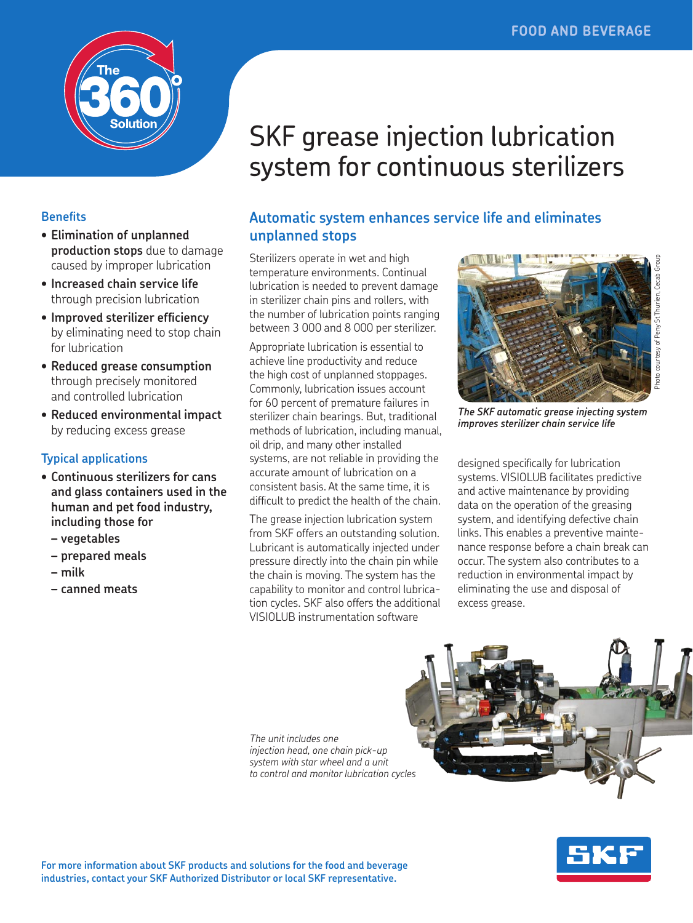

#### **Benefits**

- **• Elimination of unplanned production stops** due to damage caused by improper lubrication
- **• Increased chain service life**  through precision lubrication
- **• Improved sterilizer efficiency**  by eliminating need to stop chain for lubrication
- **• Reduced grease consumption**  through precisely monitored and controlled lubrication
- **• Reduced environmental impact**  by reducing excess grease

#### **Typical applications**

- **• Continuous sterilizers for cans and glass containers used in the human and pet food industry, including those for**
	- **– vegetables**
	- **– prepared meals**
	- **– milk**
	- **– canned meats**

# SKF grease injection lubrication system for continuous sterilizers

## **Automatic system enhances service life and eliminates unplanned stops**

Sterilizers operate in wet and high temperature environments. Continual lubrication is needed to prevent damage in sterilizer chain pins and rollers, with the number of lubrication points ranging between 3 000 and 8 000 per sterilizer.

Appropriate lubrication is essential to achieve line productivity and reduce the high cost of unplanned stoppages. Commonly, lubrication issues account for 60 percent of premature failures in sterilizer chain bearings. But, traditional methods of lubrication, including manual, oil drip, and many other installed systems, are not reliable in providing the accurate amount of lubrication on a consistent basis. At the same time, it is difficult to predict the health of the chain.

The grease injection lubrication system from SKF offers an outstanding solution. Lubricant is automatically injected under pressure directly into the chain pin while the chain is moving. The system has the capability to monitor and control lubrication cycles. SKF also offers the additional VISIOLUB instrumentation software



*The SKF automatic grease injecting system improves sterilizer chain service life*

designed specifically for lubrication systems. VISIOLUB facilitates predictive and active maintenance by providing data on the operation of the greasing system, and identifying defective chain links. This enables a preventive maintenance response before a chain break can occur. The system also contributes to a reduction in environmental impact by eliminating the use and disposal of excess grease.

*The unit includes one injection head, one chain pick-up system with star wheel and a unit to control and monitor lubrication cycles*